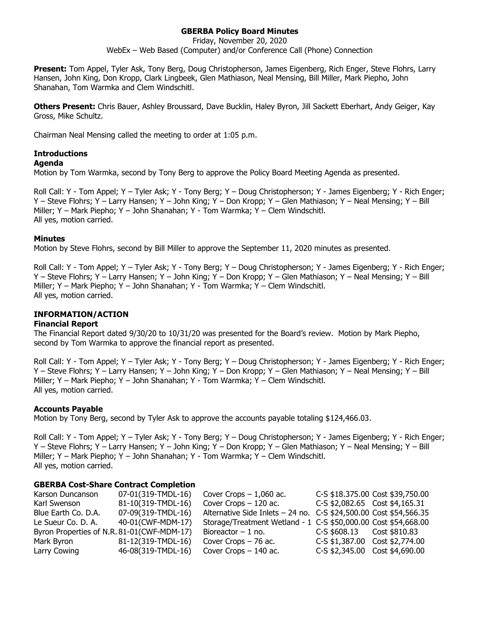# **GBERBA Policy Board Minutes**

Friday, November 20, 2020 WebEx – Web Based (Computer) and/or Conference Call (Phone) Connection

**Present:** Tom Appel, Tyler Ask, Tony Berg, Doug Christopherson, James Eigenberg, Rich Enger, Steve Flohrs, Larry Hansen, John King, Don Kropp, Clark Lingbeek, Glen Mathiason, Neal Mensing, Bill Miller, Mark Piepho, John Shanahan, Tom Warmka and Clem Windschitl.

**Others Present:** Chris Bauer, Ashley Broussard, Dave Bucklin, Haley Byron, Jill Sackett Eberhart, Andy Geiger, Kay Gross, Mike Schultz.

Chairman Neal Mensing called the meeting to order at 1:05 p.m.

## **Introductions**

#### **Agenda**

Motion by Tom Warmka, second by Tony Berg to approve the Policy Board Meeting Agenda as presented.

Roll Call: Y - Tom Appel; Y – Tyler Ask; Y - Tony Berg; Y – Doug Christopherson; Y - James Eigenberg; Y - Rich Enger; Y – Steve Flohrs; Y – Larry Hansen; Y – John King; Y – Don Kropp; Y – Glen Mathiason; Y – Neal Mensing; Y – Bill Miller; Y – Mark Piepho; Y – John Shanahan; Y - Tom Warmka; Y – Clem Windschitl. All yes, motion carried.

#### **Minutes**

Motion by Steve Flohrs, second by Bill Miller to approve the September 11, 2020 minutes as presented.

Roll Call: Y - Tom Appel; Y – Tyler Ask; Y - Tony Berg; Y – Doug Christopherson; Y - James Eigenberg; Y - Rich Enger; Y – Steve Flohrs; Y – Larry Hansen; Y – John King; Y – Don Kropp; Y – Glen Mathiason; Y – Neal Mensing; Y – Bill Miller; Y – Mark Piepho; Y – John Shanahan; Y - Tom Warmka; Y – Clem Windschitl. All yes, motion carried.

#### **INFORMATION/ACTION**

#### **Financial Report**

The Financial Report dated 9/30/20 to 10/31/20 was presented for the Board's review. Motion by Mark Piepho, second by Tom Warmka to approve the financial report as presented.

Roll Call: Y - Tom Appel; Y – Tyler Ask; Y - Tony Berg; Y – Doug Christopherson; Y - James Eigenberg; Y - Rich Enger; Y – Steve Flohrs; Y – Larry Hansen; Y – John King; Y – Don Kropp; Y – Glen Mathiason; Y – Neal Mensing; Y – Bill Miller; Y – Mark Piepho; Y – John Shanahan; Y - Tom Warmka; Y – Clem Windschitl. All yes, motion carried.

#### **Accounts Payable**

Motion by Tony Berg, second by Tyler Ask to approve the accounts payable totaling \$124,466.03.

Roll Call: Y - Tom Appel; Y – Tyler Ask; Y - Tony Berg; Y – Doug Christopherson; Y - James Eigenberg; Y - Rich Enger; Y – Steve Flohrs; Y – Larry Hansen; Y – John King; Y – Don Kropp; Y – Glen Mathiason; Y – Neal Mensing; Y – Bill Miller; Y – Mark Piepho; Y – John Shanahan; Y - Tom Warmka; Y – Clem Windschitl. All yes, motion carried.

#### **GBERBA Cost-Share Contract Completion**

| Karson Duncanson                           | 07-01(319-TMDL-16) | Cover Crops $-1,060$ ac.                                          |                                | C-S \$18.375.00 Cost \$39,750.00 |
|--------------------------------------------|--------------------|-------------------------------------------------------------------|--------------------------------|----------------------------------|
| Karl Swenson                               | 81-10(319-TMDL-16) | Cover Crops $-120$ ac.                                            | C-S \$2,082.65 Cost \$4,165.31 |                                  |
| Blue Earth Co. D.A.                        | 07-09(319-TMDL-16) | Alternative Side Inlets - 24 no. C-S \$24,500.00 Cost \$54,566.35 |                                |                                  |
| Le Sueur Co. D. A.                         | 40-01(CWF-MDM-17)  | Storage/Treatment Wetland - 1 C-S \$50,000.00 Cost \$54,668.00    |                                |                                  |
| Byron Properties of N.R. 81-01(CWF-MDM-17) |                    | Bioreactor $-1$ no.                                               | $C-S$ \$608.13 Cost \$810.83   |                                  |
| Mark Byron                                 | 81-12(319-TMDL-16) | Cover Crops - 76 ac.                                              | C-S \$1,387.00 Cost \$2,774.00 |                                  |
| Larry Cowing                               | 46-08(319-TMDL-16) | Cover Crops - 140 ac.                                             | C-S \$2,345.00 Cost \$4,690.00 |                                  |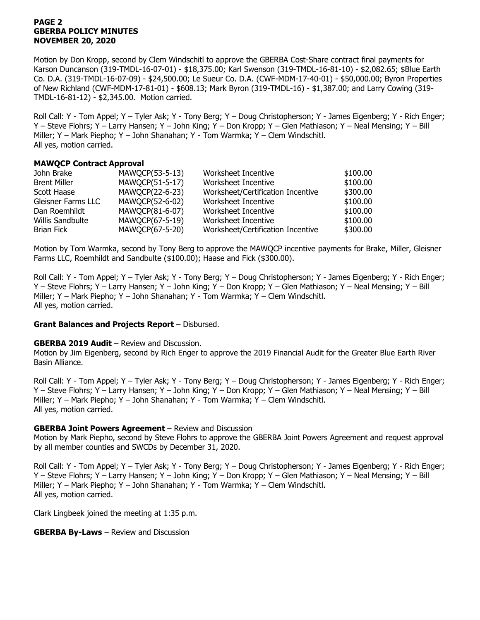## **PAGE 2 GBERBA POLICY MINUTES NOVEMBER 20, 2020**

Motion by Don Kropp, second by Clem Windschitl to approve the GBERBA Cost-Share contract final payments for Karson Duncanson (319-TMDL-16-07-01) - \$18,375.00; Karl Swenson (319-TMDL-16-81-10) - \$2,082.65; \$Blue Earth Co. D.A. (319-TMDL-16-07-09) - \$24,500.00; Le Sueur Co. D.A. (CWF-MDM-17-40-01) - \$50,000.00; Byron Properties of New Richland (CWF-MDM-17-81-01) - \$608.13; Mark Byron (319-TMDL-16) - \$1,387.00; and Larry Cowing (319- TMDL-16-81-12) - \$2,345.00. Motion carried.

Roll Call: Y - Tom Appel; Y – Tyler Ask; Y - Tony Berg; Y – Doug Christopherson; Y - James Eigenberg; Y - Rich Enger; Y – Steve Flohrs; Y – Larry Hansen; Y – John King; Y – Don Kropp; Y – Glen Mathiason; Y – Neal Mensing; Y – Bill Miller; Y – Mark Piepho; Y – John Shanahan; Y - Tom Warmka; Y – Clem Windschitl. All yes, motion carried.

## **MAWQCP Contract Approval**

| John Brake              | MAWQCP(53-5-13) | Worksheet Incentive               | \$100.00 |
|-------------------------|-----------------|-----------------------------------|----------|
| <b>Brent Miller</b>     | MAWQCP(51-5-17) | Worksheet Incentive               | \$100.00 |
| Scott Haase             | MAWQCP(22-6-23) | Worksheet/Certification Incentive | \$300.00 |
| Gleisner Farms LLC      | MAWQCP(52-6-02) | Worksheet Incentive               | \$100.00 |
| Dan Roemhildt           | MAWQCP(81-6-07) | Worksheet Incentive               | \$100.00 |
| <b>Willis Sandbulte</b> | MAWQCP(67-5-19) | Worksheet Incentive               | \$100.00 |
| <b>Brian Fick</b>       | MAWQCP(67-5-20) | Worksheet/Certification Incentive | \$300.00 |

Motion by Tom Warmka, second by Tony Berg to approve the MAWQCP incentive payments for Brake, Miller, Gleisner Farms LLC, Roemhildt and Sandbulte (\$100.00); Haase and Fick (\$300.00).

Roll Call: Y - Tom Appel; Y – Tyler Ask; Y - Tony Berg; Y – Doug Christopherson; Y - James Eigenberg; Y - Rich Enger; Y – Steve Flohrs; Y – Larry Hansen; Y – John King; Y – Don Kropp; Y – Glen Mathiason; Y – Neal Mensing; Y – Bill Miller; Y – Mark Piepho; Y – John Shanahan; Y - Tom Warmka; Y – Clem Windschitl. All yes, motion carried.

## **Grant Balances and Projects Report** – Disbursed.

#### **GBERBA 2019 Audit** – Review and Discussion.

Motion by Jim Eigenberg, second by Rich Enger to approve the 2019 Financial Audit for the Greater Blue Earth River Basin Alliance.

Roll Call: Y - Tom Appel; Y – Tyler Ask; Y - Tony Berg; Y – Doug Christopherson; Y - James Eigenberg; Y - Rich Enger; Y – Steve Flohrs; Y – Larry Hansen; Y – John King; Y – Don Kropp; Y – Glen Mathiason; Y – Neal Mensing; Y – Bill Miller; Y – Mark Piepho; Y – John Shanahan; Y - Tom Warmka; Y – Clem Windschitl. All yes, motion carried.

## **GBERBA Joint Powers Agreement** – Review and Discussion

Motion by Mark Piepho, second by Steve Flohrs to approve the GBERBA Joint Powers Agreement and request approval by all member counties and SWCDs by December 31, 2020.

Roll Call: Y - Tom Appel; Y – Tyler Ask; Y - Tony Berg; Y – Doug Christopherson; Y - James Eigenberg; Y - Rich Enger; Y – Steve Flohrs; Y – Larry Hansen; Y – John King; Y – Don Kropp; Y – Glen Mathiason; Y – Neal Mensing; Y – Bill Miller; Y – Mark Piepho; Y – John Shanahan; Y - Tom Warmka; Y – Clem Windschitl. All yes, motion carried.

Clark Lingbeek joined the meeting at 1:35 p.m.

## **GBERBA By-Laws** – Review and Discussion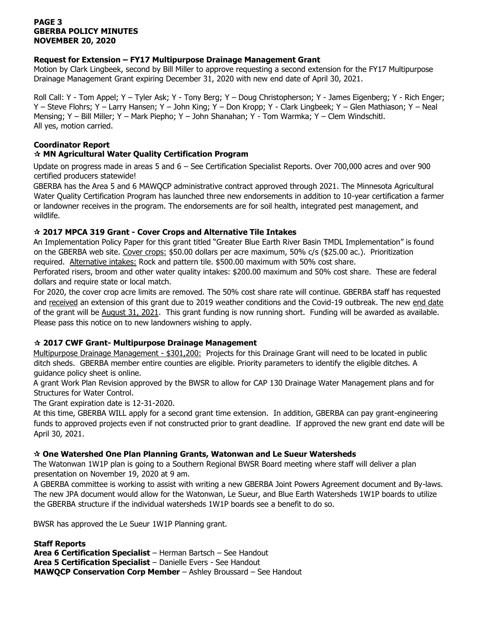## **PAGE 3 GBERBA POLICY MINUTES NOVEMBER 20, 2020**

## **Request for Extension – FY17 Multipurpose Drainage Management Grant**

Motion by Clark Lingbeek, second by Bill Miller to approve requesting a second extension for the FY17 Multipurpose Drainage Management Grant expiring December 31, 2020 with new end date of April 30, 2021.

Roll Call: Y - Tom Appel; Y – Tyler Ask; Y - Tony Berg; Y – Doug Christopherson; Y - James Eigenberg; Y - Rich Enger; Y – Steve Flohrs; Y – Larry Hansen; Y – John King; Y – Don Kropp; Y - Clark Lingbeek; Y – Glen Mathiason; Y – Neal Mensing; Y – Bill Miller; Y – Mark Piepho; Y – John Shanahan; Y - Tom Warmka; Y – Clem Windschitl. All yes, motion carried.

# **Coordinator Report**

# **MN Agricultural Water Quality Certification Program**

Update on progress made in areas 5 and 6 – See Certification Specialist Reports. Over 700,000 acres and over 900 certified producers statewide!

GBERBA has the Area 5 and 6 MAWQCP administrative contract approved through 2021. The Minnesota Agricultural Water Quality Certification Program has launched three new endorsements in addition to 10-year certification a farmer or landowner receives in the program. The endorsements are for soil health, integrated pest management, and wildlife.

# **2017 MPCA 319 Grant - Cover Crops and Alternative Tile Intakes**

An Implementation Policy Paper for this grant titled "Greater Blue Earth River Basin TMDL Implementation" is found on the GBERBA web site. Cover crops: \$50.00 dollars per acre maximum, 50% c/s (\$25.00 ac.). Prioritization required. Alternative intakes: Rock and pattern tile. \$500.00 maximum with 50% cost share.

Perforated risers, broom and other water quality intakes: \$200.00 maximum and 50% cost share. These are federal dollars and require state or local match.

For 2020, the cover crop acre limits are removed. The 50% cost share rate will continue. GBERBA staff has requested and received an extension of this grant due to 2019 weather conditions and the Covid-19 outbreak. The new end date of the grant will be August 31, 2021. This grant funding is now running short. Funding will be awarded as available. Please pass this notice on to new landowners wishing to apply.

# **2017 CWF Grant- Multipurpose Drainage Management**

Multipurpose Drainage Management - \$301,200: Projects for this Drainage Grant will need to be located in public ditch sheds. GBERBA member entire counties are eligible. Priority parameters to identify the eligible ditches. A guidance policy sheet is online.

A grant Work Plan Revision approved by the BWSR to allow for CAP 130 Drainage Water Management plans and for Structures for Water Control.

The Grant expiration date is 12-31-2020.

At this time, GBERBA WILL apply for a second grant time extension. In addition, GBERBA can pay grant-engineering funds to approved projects even if not constructed prior to grant deadline. If approved the new grant end date will be April 30, 2021.

## **One Watershed One Plan Planning Grants, Watonwan and Le Sueur Watersheds**

The Watonwan 1W1P plan is going to a Southern Regional BWSR Board meeting where staff will deliver a plan presentation on November 19, 2020 at 9 am.

A GBERBA committee is working to assist with writing a new GBERBA Joint Powers Agreement document and By-laws. The new JPA document would allow for the Watonwan, Le Sueur, and Blue Earth Watersheds 1W1P boards to utilize the GBERBA structure if the individual watersheds 1W1P boards see a benefit to do so.

BWSR has approved the Le Sueur 1W1P Planning grant.

**Staff Reports Area 6 Certification Specialist** – Herman Bartsch – See Handout **Area 5 Certification Specialist** – Danielle Evers - See Handout **MAWQCP Conservation Corp Member** – Ashley Broussard – See Handout